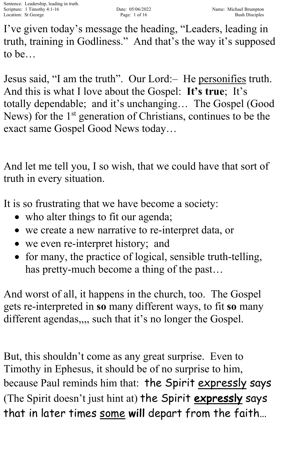I've given today's message the heading, "Leaders, leading in truth, training in Godliness." And that's the way it's supposed to be…

Jesus said, "I am the truth". Our Lord:– He personifies truth. And this is what I love about the Gospel: **It's true**; It's totally dependable; and it's unchanging… The Gospel (Good News) for the 1<sup>st</sup> generation of Christians, continues to be the exact same Gospel Good News today…

And let me tell you, I so wish, that we could have that sort of truth in every situation.

It is so frustrating that we have become a society:

- who alter things to fit our agenda;
- we create a new narrative to re-interpret data, or
- we even re-interpret history; and
- for many, the practice of logical, sensible truth-telling, has pretty-much become a thing of the past…

And worst of all, it happens in the church, too. The Gospel gets re-interpreted in **so** many different ways, to fit **so** many different agendas,,,, such that it's no longer the Gospel.

But, this shouldn't come as any great surprise. Even to Timothy in Ephesus, it should be of no surprise to him, because Paul reminds him that: the Spirit expressly says (The Spirit doesn't just hint at) the Spirit expressly says that in later times some will depart from the faith...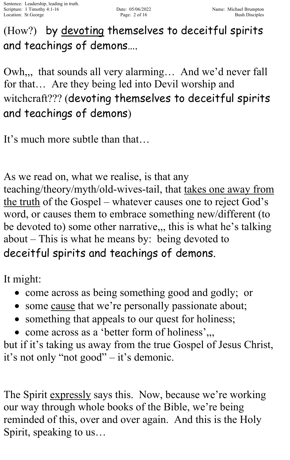(How?) by devoting themselves to deceitful spirits and teachings of demons….

Owh,,, that sounds all very alarming… And we'd never fall for that… Are they being led into Devil worship and witchcraft??? (devoting themselves to deceitful spirits and teachings of demons)

It's much more subtle than that…

As we read on, what we realise, is that any teaching/theory/myth/old-wives-tail, that takes one away from the truth of the Gospel – whatever causes one to reject God's word, or causes them to embrace something new/different (to be devoted to) some other narrative,,, this is what he's talking about – This is what he means by: being devoted to deceitful spirits and teachings of demons.

It might:

- come across as being something good and godly; or
- some cause that we're personally passionate about;
- something that appeals to our quest for holiness;
- come across as a 'better form of holiness',

but if it's taking us away from the true Gospel of Jesus Christ, it's not only "not good" – it's demonic.

The Spirit expressly says this. Now, because we're working our way through whole books of the Bible, we're being reminded of this, over and over again. And this is the Holy Spirit, speaking to us…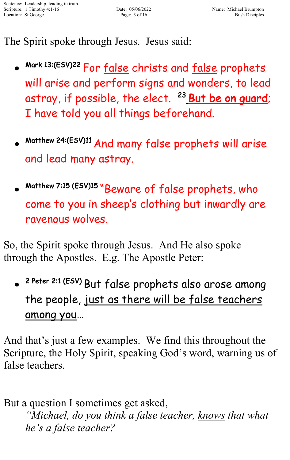The Spirit spoke through Jesus. Jesus said:

- Mark 13:(ESV)22 For <u>false</u> christs and <u>false</u> prophets will arise and perform signs and wonders, to lead astray, if possible, the elect. <sup>23</sup> But be on guard; I have told you all things beforehand.
- Matthew 24:(ESV)11 And many false prophets will arise and lead many astray.
- Matthew 7:15 (ESV)15 "Beware of false prophets, who come to you in sheep's clothing but inwardly are ravenous wolves.

So, the Spirit spoke through Jesus. And He also spoke through the Apostles. E.g. The Apostle Peter:

• 2 Peter 2:1 (ESV) But false prophets also arose among the people, just as there will be false teachers among you…

And that's just a few examples. We find this throughout the Scripture, the Holy Spirit, speaking God's word, warning us of false teachers.

But a question I sometimes get asked, *"Michael, do you think a false teacher, knows that what he's a false teacher?*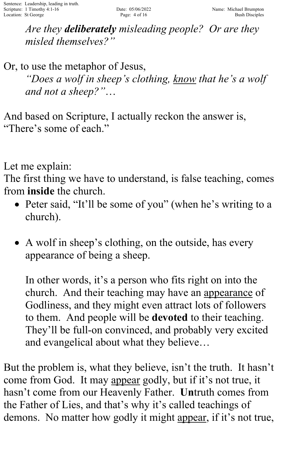*Are they deliberately misleading people? Or are they misled themselves?"* 

Or, to use the metaphor of Jesus, *"Does a wolf in sheep's clothing, know that he's a wolf and not a sheep?"*…

And based on Scripture, I actually reckon the answer is, "There's some of each."

Let me explain:

The first thing we have to understand, is false teaching, comes from **inside** the church.

- Peter said, "It'll be some of you" (when he's writing to a church).
- A wolf in sheep's clothing, on the outside, has every appearance of being a sheep.

In other words, it's a person who fits right on into the church. And their teaching may have an appearance of Godliness, and they might even attract lots of followers to them. And people will be **devoted** to their teaching. They'll be full-on convinced, and probably very excited and evangelical about what they believe…

But the problem is, what they believe, isn't the truth. It hasn't come from God. It may appear godly, but if it's not true, it hasn't come from our Heavenly Father. **Un**truth comes from the Father of Lies, and that's why it's called teachings of demons. No matter how godly it might appear, if it's not true,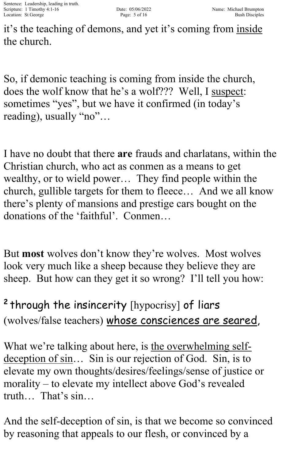it's the teaching of demons, and yet it's coming from inside the church.

So, if demonic teaching is coming from inside the church, does the wolf know that he's a wolf??? Well, I suspect: sometimes "yes", but we have it confirmed (in today's reading), usually "no"...

I have no doubt that there **are** frauds and charlatans, within the Christian church, who act as conmen as a means to get wealthy, or to wield power… They find people within the church, gullible targets for them to fleece… And we all know there's plenty of mansions and prestige cars bought on the donations of the 'faithful'. Conmen…

But **most** wolves don't know they're wolves. Most wolves look very much like a sheep because they believe they are sheep. But how can they get it so wrong? I'll tell you how:

<sup>2</sup> through the insincerity [hypocrisy] of liars (wolves/false teachers) whose consciences are seared,

What we're talking about here, is the overwhelming selfdeception of sin... Sin is our rejection of God. Sin, is to elevate my own thoughts/desires/feelings/sense of justice or morality – to elevate my intellect above God's revealed truth… That's sin…

And the self-deception of sin, is that we become so convinced by reasoning that appeals to our flesh, or convinced by a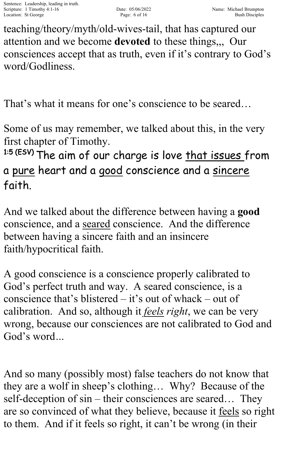teaching/theory/myth/old-wives-tail, that has captured our attention and we become **devoted** to these things,,, Our consciences accept that as truth, even if it's contrary to God's word/Godliness.

That's what it means for one's conscience to be seared…

Some of us may remember, we talked about this, in the very first chapter of Timothy.

<sup>1:5 (ESV)</sup> The aim of our charge is love <u>that issues f</u>rom a pure heart and a good conscience and a sincere faith.

And we talked about the difference between having a **good** conscience, and a seared conscience. And the difference between having a sincere faith and an insincere faith/hypocritical faith.

A good conscience is a conscience properly calibrated to God's perfect truth and way. A seared conscience, is a conscience that's blistered – it's out of whack – out of calibration. And so, although it *feels right*, we can be very wrong, because our consciences are not calibrated to God and God's word*…*

And so many (possibly most) false teachers do not know that they are a wolf in sheep's clothing… Why? Because of the self-deception of sin – their consciences are seared… They are so convinced of what they believe, because it feels so right to them. And if it feels so right, it can't be wrong (in their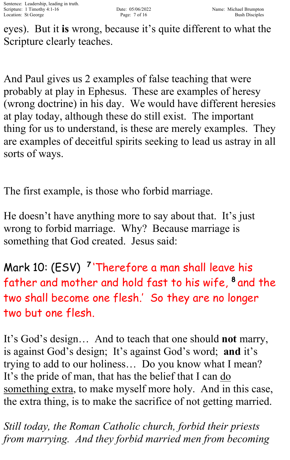eyes). But it **is** wrong, because it's quite different to what the Scripture clearly teaches.

And Paul gives us 2 examples of false teaching that were probably at play in Ephesus. These are examples of heresy (wrong doctrine) in his day. We would have different heresies at play today, although these do still exist. The important thing for us to understand, is these are merely examples. They are examples of deceitful spirits seeking to lead us astray in all sorts of ways.

The first example, is those who forbid marriage.

He doesn't have anything more to say about that. It's just wrong to forbid marriage. Why? Because marriage is something that God created. Jesus said:

Mark 10: (ESV) <sup>7</sup> 'Therefore a man shall leave his father and mother and hold fast to his wife, <sup>8</sup> and the two shall become one flesh.' So they are no longer two but one flesh.

It's God's design… And to teach that one should **not** marry, is against God's design; It's against God's word; **and** it's trying to add to our holiness… Do you know what I mean? It's the pride of man, that has the belief that I can do something extra, to make myself more holy. And in this case, the extra thing, is to make the sacrifice of not getting married.

*Still today, the Roman Catholic church, forbid their priests from marrying. And they forbid married men from becoming*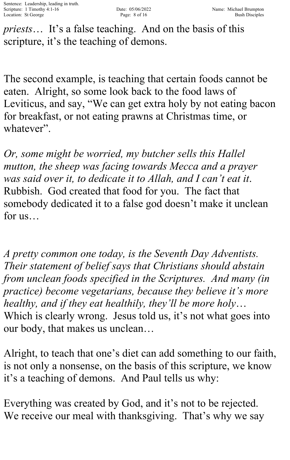*priests*… It's a false teaching. And on the basis of this scripture, it's the teaching of demons.

The second example, is teaching that certain foods cannot be eaten. Alright, so some look back to the food laws of Leviticus, and say, "We can get extra holy by not eating bacon for breakfast, or not eating prawns at Christmas time, or whatever".

*Or, some might be worried, my butcher sells this Hallel mutton, the sheep was facing towards Mecca and a prayer was said over it, to dedicate it to Allah, and I can't eat it*. Rubbish. God created that food for you. The fact that somebody dedicated it to a false god doesn't make it unclean for us…

*A pretty common one today, is the Seventh Day Adventists. Their statement of belief says that Christians should abstain from unclean foods specified in the Scriptures. And many (in practice) become vegetarians, because they believe it's more healthy, and if they eat healthily, they'll be more holy*… Which is clearly wrong. Jesus told us, it's not what goes into our body, that makes us unclean…

Alright, to teach that one's diet can add something to our faith, is not only a nonsense, on the basis of this scripture, we know it's a teaching of demons. And Paul tells us why:

Everything was created by God, and it's not to be rejected. We receive our meal with thanksgiving. That's why we say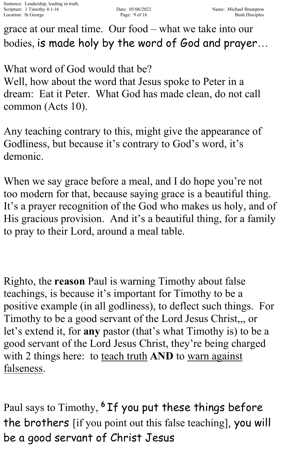grace at our meal time. Our food – what we take into our bodies, is made holy by the word of God and prayer…

What word of God would that be? Well, how about the word that Jesus spoke to Peter in a dream: Eat it Peter. What God has made clean, do not call common (Acts 10).

Any teaching contrary to this, might give the appearance of Godliness, but because it's contrary to God's word, it's demonic.

When we say grace before a meal, and I do hope you're not too modern for that, because saying grace is a beautiful thing. It's a prayer recognition of the God who makes us holy, and of His gracious provision. And it's a beautiful thing, for a family to pray to their Lord, around a meal table.

Righto, the **reason** Paul is warning Timothy about false teachings, is because it's important for Timothy to be a positive example (in all godliness), to deflect such things. For Timothy to be a good servant of the Lord Jesus Christ,,, or let's extend it, for **any** pastor (that's what Timothy is) to be a good servant of the Lord Jesus Christ, they're being charged with 2 things here: to teach truth **AND** to warn against falseness.

Paul says to Timothy, <sup>6</sup> If you put these things before the brothers [if you point out this false teaching], you will be a good servant of Christ Jesus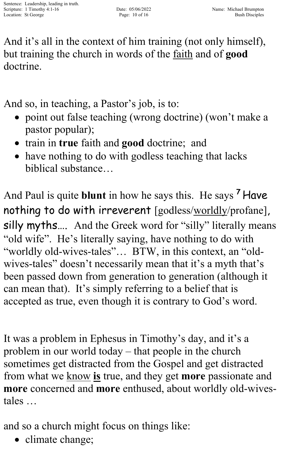And it's all in the context of him training (not only himself), but training the church in words of the faith and of **good** doctrine.

And so, in teaching, a Pastor's job, is to:

- point out false teaching (wrong doctrine) (won't make a pastor popular);
- train in **true** faith and **good** doctrine; and
- have nothing to do with godless teaching that lacks biblical substance…

And Paul is quite **blunt** in how he says this. He says <sup>7</sup> Have nothing to do with irreverent [godless/worldly/profane], silly myths.... And the Greek word for "silly" literally means "old wife". He's literally saying, have nothing to do with "worldly old-wives-tales"… BTW, in this context, an "oldwives-tales" doesn't necessarily mean that it's a myth that's been passed down from generation to generation (although it can mean that). It's simply referring to a belief that is accepted as true, even though it is contrary to God's word.

It was a problem in Ephesus in Timothy's day, and it's a problem in our world today – that people in the church sometimes get distracted from the Gospel and get distracted from what we know **is** true, and they get **more** passionate and **more** concerned and **more** enthused, about worldly old-wivestales …

and so a church might focus on things like:

• climate change;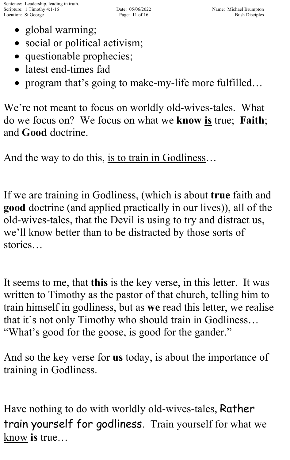- global warming;
- social or political activism;
- questionable prophecies;
- latest end-times fad
- program that's going to make-my-life more fulfilled...

We're not meant to focus on worldly old-wives-tales. What do we focus on? We focus on what we **know is** true; **Faith**; and **Good** doctrine.

And the way to do this, is to train in Godliness…

If we are training in Godliness, (which is about **true** faith and **good** doctrine (and applied practically in our lives)), all of the old-wives-tales, that the Devil is using to try and distract us, we'll know better than to be distracted by those sorts of stories…

It seems to me, that **this** is the key verse, in this letter. It was written to Timothy as the pastor of that church, telling him to train himself in godliness, but as **we** read this letter, we realise that it's not only Timothy who should train in Godliness… "What's good for the goose, is good for the gander."

And so the key verse for **us** today, is about the importance of training in Godliness.

Have nothing to do with worldly old-wives-tales, Rather train yourself for godliness. Train yourself for what we know **is** true…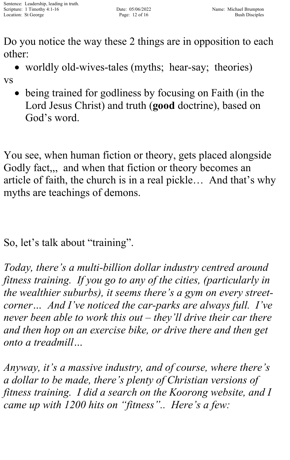Do you notice the way these 2 things are in opposition to each other:

• worldly old-wives-tales (myths; hear-say; theories)

vs

being trained for godliness by focusing on Faith (in the Lord Jesus Christ) and truth (**good** doctrine), based on God's word.

You see, when human fiction or theory, gets placed alongside Godly fact,,, and when that fiction or theory becomes an article of faith, the church is in a real pickle… And that's why myths are teachings of demons.

So, let's talk about "training".

*Today, there's a multi-billion dollar industry centred around fitness training. If you go to any of the cities, (particularly in the wealthier suburbs), it seems there's a gym on every streetcorner… And I've noticed the car-parks are always full. I've never been able to work this out – they'll drive their car there and then hop on an exercise bike, or drive there and then get onto a treadmill…*

*Anyway, it's a massive industry, and of course, where there's a dollar to be made, there's plenty of Christian versions of fitness training. I did a search on the Koorong website, and I came up with 1200 hits on "fitness".. Here's a few:*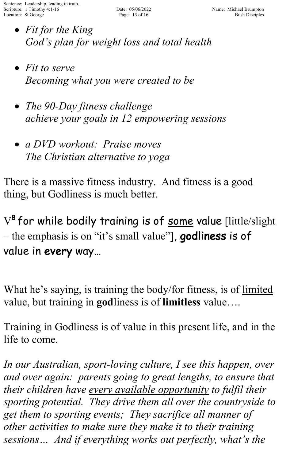- *Fit for the King God's plan for weight loss and total health*
- *Fit to serve Becoming what you were created to be*
- *The 90-Day fitness challenge achieve your goals in 12 empowering sessions*
- *a DVD workout: Praise moves The Christian alternative to yoga*

There is a massive fitness industry. And fitness is a good thing, but Godliness is much better.

V<sup>8</sup> for while bodily training is of <u>some</u> value [little/slight – the emphasis is on "it's small value", **godliness** is of value in every way…

What he's saying, is training the body/for fitness, is of limited value, but training in **god**liness is of **limitless** value….

Training in Godliness is of value in this present life, and in the life to come.

*In our Australian, sport-loving culture, I see this happen, over and over again: parents going to great lengths, to ensure that their children have every available opportunity to fulfil their sporting potential. They drive them all over the countryside to get them to sporting events; They sacrifice all manner of other activities to make sure they make it to their training sessions… And if everything works out perfectly, what's the*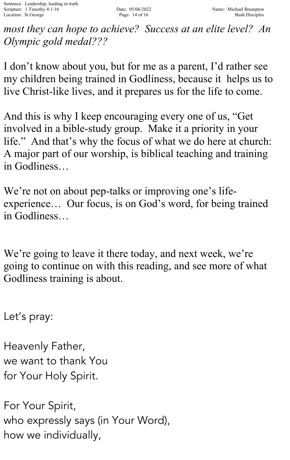*most they can hope to achieve? Success at an elite level? An Olympic gold medal???*

I don't know about you, but for me as a parent, I'd rather see my children being trained in Godliness, because it helps us to live Christ-like lives, and it prepares us for the life to come.

And this is why I keep encouraging every one of us, "Get involved in a bible-study group. Make it a priority in your life." And that's why the focus of what we do here at church: A major part of our worship, is biblical teaching and training in Godliness…

We're not on about pep-talks or improving one's lifeexperience… Our focus, is on God's word, for being trained in Godliness…

We're going to leave it there today, and next week, we're going to continue on with this reading, and see more of what Godliness training is about.

Let's pray:

Heavenly Father, we want to thank You for Your Holy Spirit.

For Your Spirit, who expressly says (in Your Word), how we individually,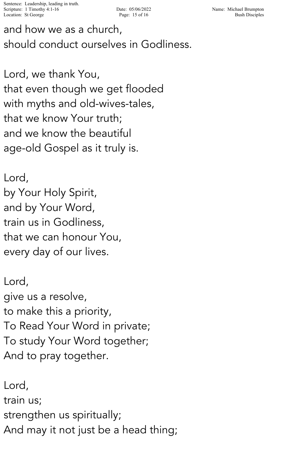Sentence: Leadership, leading in truth. Scripture: 1 Timothy 4:1-16 Date: 05/06/2022 Name: Michael Brumpton Location: St George 2012 Page: 15 of 16 Bush Disciples

and how we as a church, should conduct ourselves in Godliness.

Lord, we thank You, that even though we get flooded with myths and old-wives-tales, that we know Your truth; and we know the beautiful age-old Gospel as it truly is.

Lord, by Your Holy Spirit, and by Your Word, train us in Godliness, that we can honour You, every day of our lives.

Lord, give us a resolve, to make this a priority, To Read Your Word in private; To study Your Word together; And to pray together.

Lord, train us; strengthen us spiritually; And may it not just be a head thing;